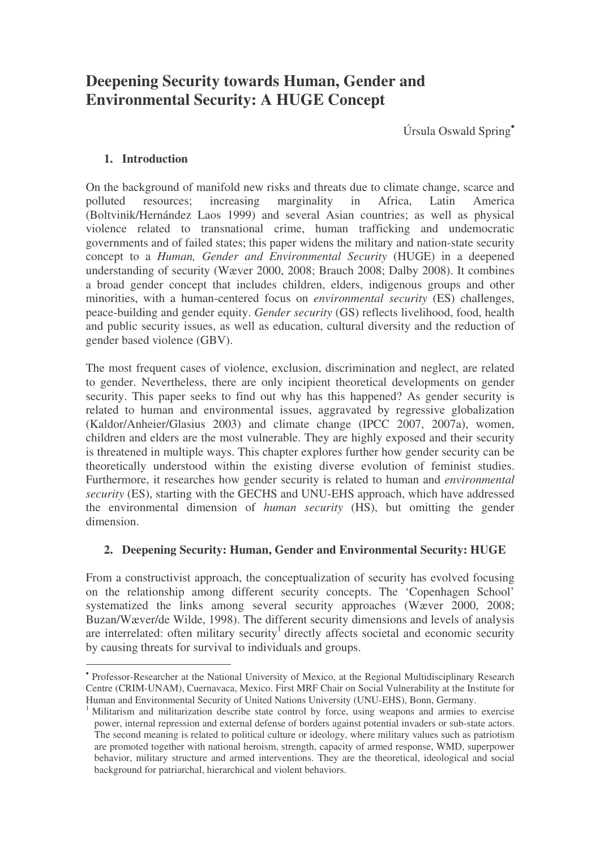# **Deepening Security towards Human, Gender and Environmental Security: A HUGE Concept**

Úrsula Oswald Spring •

## **1. Introduction**

On the background of manifold new risks and threats due to climate change, scarce and polluted resources; increasing marginality in Africa, Latin America (Boltvinik/Hernández Laos 1999) and several Asian countries; as well as physical violence related to transnational crime, human trafficking and undemocratic governments and of failed states; this paper widens the military and nation-state security concept to a *Human, Gender and Environmental Security* (HUGE) in a deepened understanding of security (Wæver 2000, 2008; Brauch 2008; Dalby 2008). It combines a broad gender concept that includes children, elders, indigenous groups and other minorities, with a human-centered focus on *environmental security* (ES) challenges, peace-building and gender equity. *Gender security* (GS) reflects livelihood, food, health and public security issues, as well as education, cultural diversity and the reduction of gender based violence (GBV).

The most frequent cases of violence, exclusion, discrimination and neglect, are related to gender. Nevertheless, there are only incipient theoretical developments on gender security. This paper seeks to find out why has this happened? As gender security is related to human and environmental issues, aggravated by regressive globalization (Kaldor/Anheier/Glasius 2003) and climate change (IPCC 2007, 2007a), women, children and elders are the most vulnerable. They are highly exposed and their security is threatened in multiple ways. This chapter explores further how gender security can be theoretically understood within the existing diverse evolution of feminist studies. Furthermore, it researches how gender security is related to human and *environmental security* (ES), starting with the GECHS and UNU-EHS approach, which have addressed the environmental dimension of *human security* (HS), but omitting the gender dimension.

## **2. Deepening Security: Human, Gender and Environmental Security: HUGE**

From a constructivist approach, the conceptualization of security has evolved focusing on the relationship among different security concepts. The 'Copenhagen School' systematized the links among several security approaches (Wæver 2000, 2008; Buzan/Wæver/de Wilde, 1998). The different security dimensions and levels of analysis are interrelated: often military security<sup>1</sup> directly affects societal and economic security by causing threats for survival to individuals and groups.

<sup>•</sup> Professor-Researcher at the National University of Mexico, at the Regional Multidisciplinary Research Centre (CRIM-UNAM), Cuernavaca, Mexico. First MRF Chair on Social Vulnerability at the Institute for Human and Environmental Security of United Nations University (UNU-EHS), Bonn, Germany.

<sup>&</sup>lt;sup>1</sup> Militarism and militarization describe state control by force, using weapons and armies to exercise power, internal repression and external defense of borders against potential invaders or sub-state actors. The second meaning is related to political culture or ideology, where military values such as patriotism are promoted together with national heroism, strength, capacity of armed response, WMD, superpower behavior, military structure and armed interventions. They are the theoretical, ideological and social background for patriarchal, hierarchical and violent behaviors.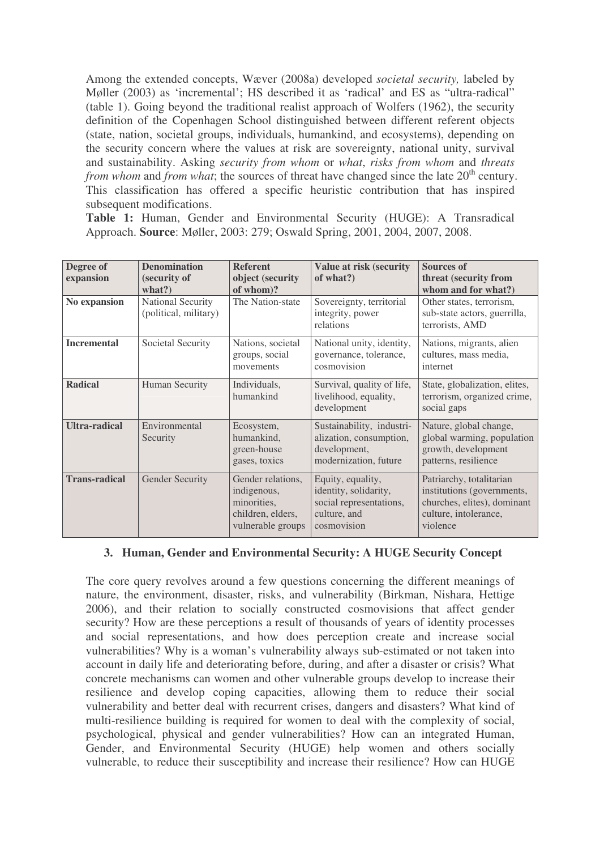Among the extended concepts, Wæver (2008a) developed *societal security,* labeled by Møller (2003) as 'incremental'; HS described it as 'radical' and ES as "ultra-radical" (table 1). Going beyond the traditional realist approach of Wolfers (1962), the security definition of the Copenhagen School distinguished between different referent objects (state, nation, societal groups, individuals, humankind, and ecosystems), depending on the security concern where the values at risk are sovereignty, national unity, survival and sustainability. Asking *security from whom* or *what*, *risks from whom* and *threats* from whom and from what; the sources of threat have changed since the late 20<sup>th</sup> century. This classification has offered a specific heuristic contribution that has inspired subsequent modifications.

**Table 1:** Human, Gender and Environmental Security (HUGE): A Transradical Approach. **Source**: Møller, 2003: 279; Oswald Spring, 2001, 2004, 2007, 2008.

| Degree of            | <b>Denomination</b>                        | <b>Referent</b>                                                                           | <b>Value at risk (security</b>                                                                       | <b>Sources of</b>                                                                                                          |
|----------------------|--------------------------------------------|-------------------------------------------------------------------------------------------|------------------------------------------------------------------------------------------------------|----------------------------------------------------------------------------------------------------------------------------|
| expansion            | (security of<br>what?)                     | object (security<br>of whom)?                                                             | of what?)                                                                                            | threat (security from<br>whom and for what?)                                                                               |
| No expansion         | National Security<br>(political, military) | The Nation-state                                                                          | Sovereignty, territorial<br>integrity, power<br>relations                                            | Other states, terrorism,<br>sub-state actors, guerrilla,<br>terrorists, AMD                                                |
| <b>Incremental</b>   | Societal Security                          | Nations, societal<br>groups, social<br>movements                                          | National unity, identity,<br>governance, tolerance,<br>cosmovision                                   | Nations, migrants, alien<br>cultures, mass media,<br>internet                                                              |
| <b>Radical</b>       | <b>Human Security</b>                      | Individuals,<br>humankind                                                                 | Survival, quality of life,<br>livelihood, equality,<br>development                                   | State, globalization, elites,<br>terrorism, organized crime,<br>social gaps                                                |
| <b>Ultra-radical</b> | Environmental<br>Security                  | Ecosystem,<br>humankind,<br>green-house<br>gases, toxics                                  | Sustainability, industri-<br>alization, consumption,<br>development,<br>modernization, future        | Nature, global change,<br>global warming, population<br>growth, development<br>patterns, resilience                        |
| <b>Trans-radical</b> | <b>Gender Security</b>                     | Gender relations,<br>indigenous,<br>minorities,<br>children, elders,<br>vulnerable groups | Equity, equality,<br>identity, solidarity,<br>social representations,<br>culture, and<br>cosmovision | Patriarchy, totalitarian<br>institutions (governments,<br>churches, elites), dominant<br>culture, intolerance,<br>violence |

#### **3. Human, Gender and Environmental Security: A HUGE Security Concept**

The core query revolves around a few questions concerning the different meanings of nature, the environment, disaster, risks, and vulnerability (Birkman, Nishara, Hettige 2006), and their relation to socially constructed cosmovisions that affect gender security? How are these perceptions a result of thousands of years of identity processes and social representations, and how does perception create and increase social vulnerabilities? Why is a woman's vulnerability always sub-estimated or not taken into account in daily life and deteriorating before, during, and after a disaster or crisis? What concrete mechanisms can women and other vulnerable groups develop to increase their resilience and develop coping capacities, allowing them to reduce their social vulnerability and better deal with recurrent crises, dangers and disasters? What kind of multi-resilience building is required for women to deal with the complexity of social, psychological, physical and gender vulnerabilities? How can an integrated Human, Gender, and Environmental Security (HUGE) help women and others socially vulnerable, to reduce their susceptibility and increase their resilience? How can HUGE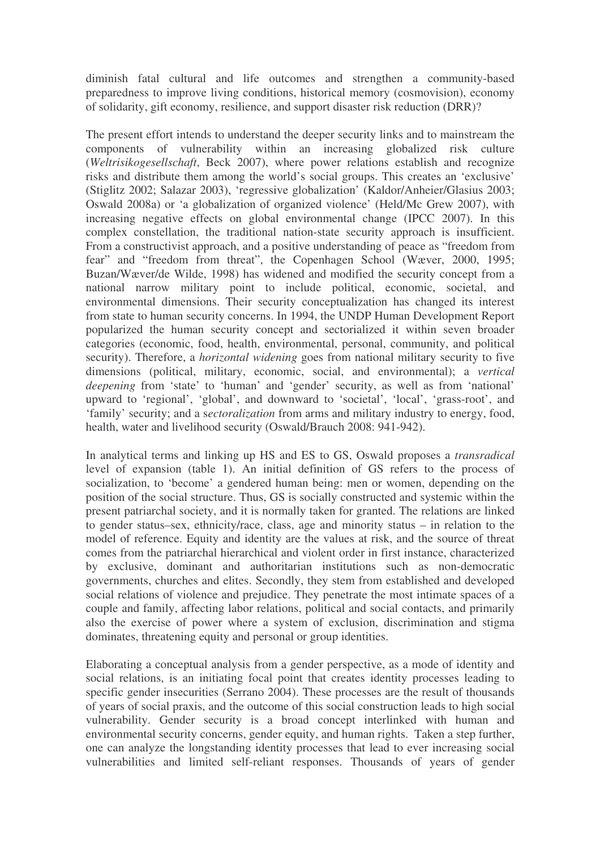diminish fatal cultural and life outcomes and strengthen a community-based preparedness to improve living conditions, historical memory (cosmovision), economy of solidarity, gift economy, resilience, and support disaster risk reduction (DRR)?

The present effort intends to understand the deeper security links and to mainstream the components of vulnerability within an increasing globalized risk culture (*Weltrisikogesellschaft*, Beck 2007), where power relations establish and recognize risks and distribute them among the world's social groups. This creates an 'exclusive' (Stiglitz 2002; Salazar 2003), 'regressive globalization' (Kaldor/Anheier/Glasius 2003; Oswald 2008a) or 'a globalization of organized violence' (Held/Mc Grew 2007), with increasing negative effects on global environmental change (IPCC 2007). In this complex constellation, the traditional nation-state security approach is insufficient. From a constructivist approach, and a positive understanding of peace as "freedom from fear" and "freedom from threat", the Copenhagen School (Wæver, 2000, 1995; Buzan/Wæver/de Wilde, 1998) has widened and modified the security concept from a national narrow military point to include political, economic, societal, and environmental dimensions. Their security conceptualization has changed its interest from state to human security concerns. In 1994, the UNDP Human Development Report popularized the human security concept and sectorialized it within seven broader categories (economic, food, health, environmental, personal, community, and political security). Therefore, a *horizontal widening* goes from national military security to five dimensions (political, military, economic, social, and environmental); a *vertical deepening* from 'state' to 'human' and 'gender' security, as well as from 'national' upward to 'regional', 'global', and downward to 'societal', 'local', 'grass-root', and 'family' security; and a s*ectoralization* from arms and military industry to energy, food, health, water and livelihood security (Oswald/Brauch 2008: 941-942).

In analytical terms and linking up HS and ES to GS, Oswald proposes a *transradical* level of expansion (table 1). An initial definition of GS refers to the process of socialization, to 'become' a gendered human being: men or women, depending on the position of the social structure. Thus, GS is socially constructed and systemic within the present patriarchal society, and it is normally taken for granted. The relations are linked to gender status–sex, ethnicity/race, class, age and minority status – in relation to the model of reference. Equity and identity are the values at risk, and the source of threat comes from the patriarchal hierarchical and violent order in first instance, characterized by exclusive, dominant and authoritarian institutions such as non-democratic governments, churches and elites. Secondly, they stem from established and developed social relations of violence and prejudice. They penetrate the most intimate spaces of a couple and family, affecting labor relations, political and social contacts, and primarily also the exercise of power where a system of exclusion, discrimination and stigma dominates, threatening equity and personal or group identities.

Elaborating a conceptual analysis from a gender perspective, as a mode of identity and social relations, is an initiating focal point that creates identity processes leading to specific gender insecurities (Serrano 2004). These processes are the result of thousands of years of social praxis, and the outcome of this social construction leads to high social vulnerability. Gender security is a broad concept interlinked with human and environmental security concerns, gender equity, and human rights. Taken a step further, one can analyze the longstanding identity processes that lead to ever increasing social vulnerabilities and limited self-reliant responses. Thousands of years of gender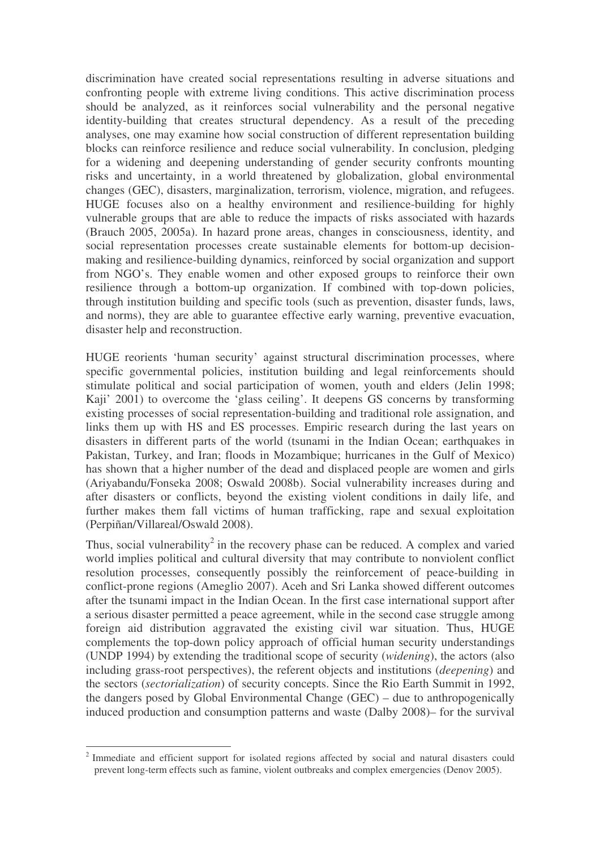discrimination have created social representations resulting in adverse situations and confronting people with extreme living conditions. This active discrimination process should be analyzed, as it reinforces social vulnerability and the personal negative identity-building that creates structural dependency. As a result of the preceding analyses, one may examine how social construction of different representation building blocks can reinforce resilience and reduce social vulnerability. In conclusion, pledging for a widening and deepening understanding of gender security confronts mounting risks and uncertainty, in a world threatened by globalization, global environmental changes (GEC), disasters, marginalization, terrorism, violence, migration, and refugees. HUGE focuses also on a healthy environment and resilience-building for highly vulnerable groups that are able to reduce the impacts of risks associated with hazards (Brauch 2005, 2005a). In hazard prone areas, changes in consciousness, identity, and social representation processes create sustainable elements for bottom-up decisionmaking and resilience-building dynamics, reinforced by social organization and support from NGO's. They enable women and other exposed groups to reinforce their own resilience through a bottom-up organization. If combined with top-down policies, through institution building and specific tools (such as prevention, disaster funds, laws, and norms), they are able to guarantee effective early warning, preventive evacuation, disaster help and reconstruction.

HUGE reorients 'human security' against structural discrimination processes, where specific governmental policies, institution building and legal reinforcements should stimulate political and social participation of women, youth and elders (Jelin 1998; Kaji' 2001) to overcome the 'glass ceiling'. It deepens GS concerns by transforming existing processes of social representation-building and traditional role assignation, and links them up with HS and ES processes. Empiric research during the last years on disasters in different parts of the world (tsunami in the Indian Ocean; earthquakes in Pakistan, Turkey, and Iran; floods in Mozambique; hurricanes in the Gulf of Mexico) has shown that a higher number of the dead and displaced people are women and girls (Ariyabandu/Fonseka 2008; Oswald 2008b). Social vulnerability increases during and after disasters or conflicts, beyond the existing violent conditions in daily life, and further makes them fall victims of human trafficking, rape and sexual exploitation (Perpiñan/Villareal/Oswald 2008).

Thus, social vulnerability<sup>2</sup> in the recovery phase can be reduced. A complex and varied world implies political and cultural diversity that may contribute to nonviolent conflict resolution processes, consequently possibly the reinforcement of peace-building in conflict-prone regions (Ameglio 2007). Aceh and Sri Lanka showed different outcomes after the tsunami impact in the Indian Ocean. In the first case international support after a serious disaster permitted a peace agreement, while in the second case struggle among foreign aid distribution aggravated the existing civil war situation. Thus, HUGE complements the top-down policy approach of official human security understandings (UNDP 1994) by extending the traditional scope of security (*widening*), the actors (also including grass-root perspectives), the referent objects and institutions (*deepening*) and the sectors (*sectorialization*) of security concepts. Since the Rio Earth Summit in 1992, the dangers posed by Global Environmental Change (GEC) – due to anthropogenically induced production and consumption patterns and waste (Dalby 2008)*–* for the survival

<sup>2</sup> Immediate and efficient support for isolated regions affected by social and natural disasters could prevent long-term effects such as famine, violent outbreaks and complex emergencies (Denov 2005).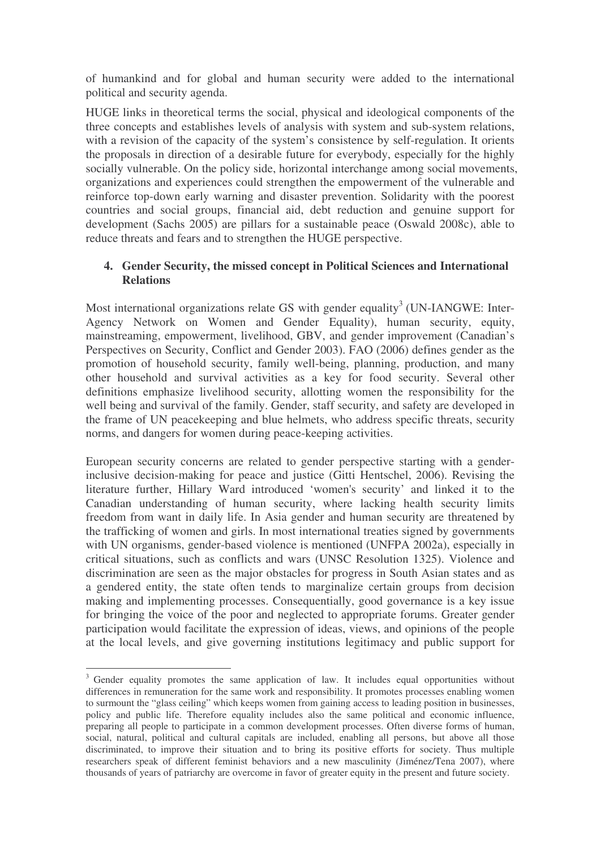of humankind and for global and human security were added to the international political and security agenda.

HUGE links in theoretical terms the social, physical and ideological components of the three concepts and establishes levels of analysis with system and sub-system relations, with a revision of the capacity of the system's consistence by self-regulation. It orients the proposals in direction of a desirable future for everybody, especially for the highly socially vulnerable. On the policy side, horizontal interchange among social movements, organizations and experiences could strengthen the empowerment of the vulnerable and reinforce top-down early warning and disaster prevention. Solidarity with the poorest countries and social groups, financial aid, debt reduction and genuine support for development (Sachs 2005) are pillars for a sustainable peace (Oswald 2008c), able to reduce threats and fears and to strengthen the HUGE perspective.

#### **4. Gender Security, the missed concept in Political Sciences and International Relations**

Most international organizations relate GS with gender equality<sup>3</sup> (UN-IANGWE: Inter-Agency Network on Women and Gender Equality), human security, equity, mainstreaming, empowerment, livelihood, GBV, and gender improvement (Canadian's Perspectives on Security, Conflict and Gender 2003). FAO (2006) defines gender as the promotion of household security, family well-being, planning, production, and many other household and survival activities as a key for food security. Several other definitions emphasize livelihood security, allotting women the responsibility for the well being and survival of the family. Gender, staff security, and safety are developed in the frame of UN peacekeeping and blue helmets, who address specific threats, security norms, and dangers for women during peace-keeping activities.

European security concerns are related to gender perspective starting with a genderinclusive decision-making for peace and justice (Gitti Hentschel, 2006). Revising the literature further, Hillary Ward introduced 'women's security' and linked it to the Canadian understanding of human security, where lacking health security limits freedom from want in daily life. In Asia gender and human security are threatened by the trafficking of women and girls. In most international treaties signed by governments with UN organisms, gender-based violence is mentioned (UNFPA 2002a), especially in critical situations, such as conflicts and wars (UNSC Resolution 1325). Violence and discrimination are seen as the major obstacles for progress in South Asian states and as a gendered entity, the state often tends to marginalize certain groups from decision making and implementing processes. Consequentially, good governance is a key issue for bringing the voice of the poor and neglected to appropriate forums. Greater gender participation would facilitate the expression of ideas, views, and opinions of the people at the local levels, and give governing institutions legitimacy and public support for

<sup>&</sup>lt;sup>3</sup> Gender equality promotes the same application of law. It includes equal opportunities without differences in remuneration for the same work and responsibility. It promotes processes enabling women to surmount the "glass ceiling" which keeps women from gaining access to leading position in businesses, policy and public life. Therefore equality includes also the same political and economic influence, preparing all people to participate in a common development processes. Often diverse forms of human, social, natural, political and cultural capitals are included, enabling all persons, but above all those discriminated, to improve their situation and to bring its positive efforts for society. Thus multiple researchers speak of different feminist behaviors and a new masculinity (Jiménez/Tena 2007), where thousands of years of patriarchy are overcome in favor of greater equity in the present and future society.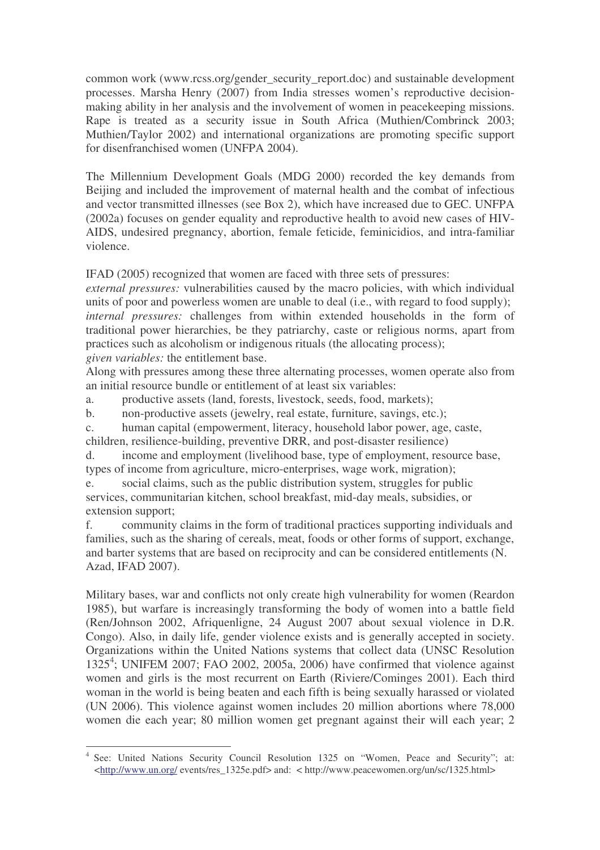common work (www.rcss.org/gender\_security\_report.doc) and sustainable development processes. Marsha Henry (2007) from India stresses women's reproductive decisionmaking ability in her analysis and the involvement of women in peacekeeping missions. Rape is treated as a security issue in South Africa (Muthien/Combrinck 2003; Muthien/Taylor 2002) and international organizations are promoting specific support for disenfranchised women (UNFPA 2004).

The Millennium Development Goals (MDG 2000) recorded the key demands from Beijing and included the improvement of maternal health and the combat of infectious and vector transmitted illnesses (see Box 2), which have increased due to GEC. UNFPA (2002a) focuses on gender equality and reproductive health to avoid new cases of HIV-AIDS, undesired pregnancy, abortion, female feticide, feminicidios, and intra-familiar violence.

IFAD (2005) recognized that women are faced with three sets of pressures:

*external pressures:* vulnerabilities caused by the macro policies, with which individual units of poor and powerless women are unable to deal (i.e., with regard to food supply); *internal pressures:* challenges from within extended households in the form of traditional power hierarchies, be they patriarchy, caste or religious norms, apart from practices such as alcoholism or indigenous rituals (the allocating process); *given variables:* the entitlement base.

Along with pressures among these three alternating processes, women operate also from an initial resource bundle or entitlement of at least six variables:

a. productive assets (land, forests, livestock, seeds, food, markets);

b. non-productive assets (jewelry, real estate, furniture, savings, etc.);

c. human capital (empowerment, literacy, household labor power, age, caste, children, resilience-building, preventive DRR, and post-disaster resilience)

d. income and employment (livelihood base, type of employment, resource base, types of income from agriculture, micro-enterprises, wage work, migration);

e. social claims, such as the public distribution system, struggles for public services, communitarian kitchen, school breakfast, mid-day meals, subsidies, or extension support;

f. community claims in the form of traditional practices supporting individuals and families, such as the sharing of cereals, meat, foods or other forms of support, exchange, and barter systems that are based on reciprocity and can be considered entitlements (N. Azad, IFAD 2007).

Military bases, war and conflicts not only create high vulnerability for women (Reardon 1985), but warfare is increasingly transforming the body of women into a battle field (Ren/Johnson 2002, Afriquenligne, 24 August 2007 about sexual violence in D.R. Congo). Also, in daily life, gender violence exists and is generally accepted in society. Organizations within the United Nations systems that collect data (UNSC Resolution 1325 4 ; UNIFEM 2007; FAO 2002, 2005a, 2006) have confirmed that violence against women and girls is the most recurrent on Earth (Riviere/Cominges 2001). Each third woman in the world is being beaten and each fifth is being sexually harassed or violated (UN 2006). This violence against women includes 20 million abortions where 78,000 women die each year; 80 million women get pregnant against their will each year; 2

<sup>4</sup> See: United Nations Security Council Resolution 1325 on "Women, Peace and Security"; at: <http://www.un.org/ events/res\_1325e.pdf> and: < http://www.peacewomen.org/un/sc/1325.html>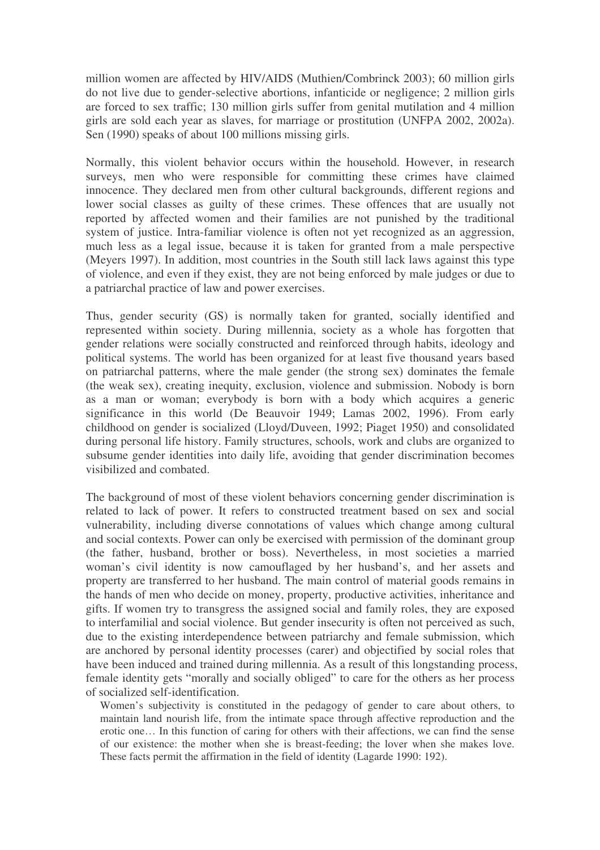million women are affected by HIV/AIDS (Muthien/Combrinck 2003); 60 million girls do not live due to gender-selective abortions, infanticide or negligence; 2 million girls are forced to sex traffic; 130 million girls suffer from genital mutilation and 4 million girls are sold each year as slaves, for marriage or prostitution (UNFPA 2002, 2002a). Sen (1990) speaks of about 100 millions missing girls.

Normally, this violent behavior occurs within the household. However, in research surveys, men who were responsible for committing these crimes have claimed innocence. They declared men from other cultural backgrounds, different regions and lower social classes as guilty of these crimes. These offences that are usually not reported by affected women and their families are not punished by the traditional system of justice. Intra-familiar violence is often not yet recognized as an aggression, much less as a legal issue, because it is taken for granted from a male perspective (Meyers 1997). In addition, most countries in the South still lack laws against this type of violence, and even if they exist, they are not being enforced by male judges or due to a patriarchal practice of law and power exercises.

Thus, gender security (GS) is normally taken for granted, socially identified and represented within society. During millennia, society as a whole has forgotten that gender relations were socially constructed and reinforced through habits, ideology and political systems. The world has been organized for at least five thousand years based on patriarchal patterns, where the male gender (the strong sex) dominates the female (the weak sex), creating inequity, exclusion, violence and submission. Nobody is born as a man or woman; everybody is born with a body which acquires a generic significance in this world (De Beauvoir 1949; Lamas 2002, 1996). From early childhood on gender is socialized (Lloyd/Duveen, 1992; Piaget 1950) and consolidated during personal life history. Family structures, schools, work and clubs are organized to subsume gender identities into daily life, avoiding that gender discrimination becomes visibilized and combated.

The background of most of these violent behaviors concerning gender discrimination is related to lack of power. It refers to constructed treatment based on sex and social vulnerability, including diverse connotations of values which change among cultural and social contexts. Power can only be exercised with permission of the dominant group (the father, husband, brother or boss). Nevertheless, in most societies a married woman's civil identity is now camouflaged by her husband's, and her assets and property are transferred to her husband. The main control of material goods remains in the hands of men who decide on money, property, productive activities, inheritance and gifts. If women try to transgress the assigned social and family roles, they are exposed to interfamilial and social violence. But gender insecurity is often not perceived as such, due to the existing interdependence between patriarchy and female submission, which are anchored by personal identity processes (carer) and objectified by social roles that have been induced and trained during millennia. As a result of this longstanding process, female identity gets "morally and socially obliged" to care for the others as her process of socialized self-identification.

Women's subjectivity is constituted in the pedagogy of gender to care about others, to maintain land nourish life, from the intimate space through affective reproduction and the erotic one… In this function of caring for others with their affections, we can find the sense of our existence: the mother when she is breast-feeding; the lover when she makes love. These facts permit the affirmation in the field of identity (Lagarde 1990: 192).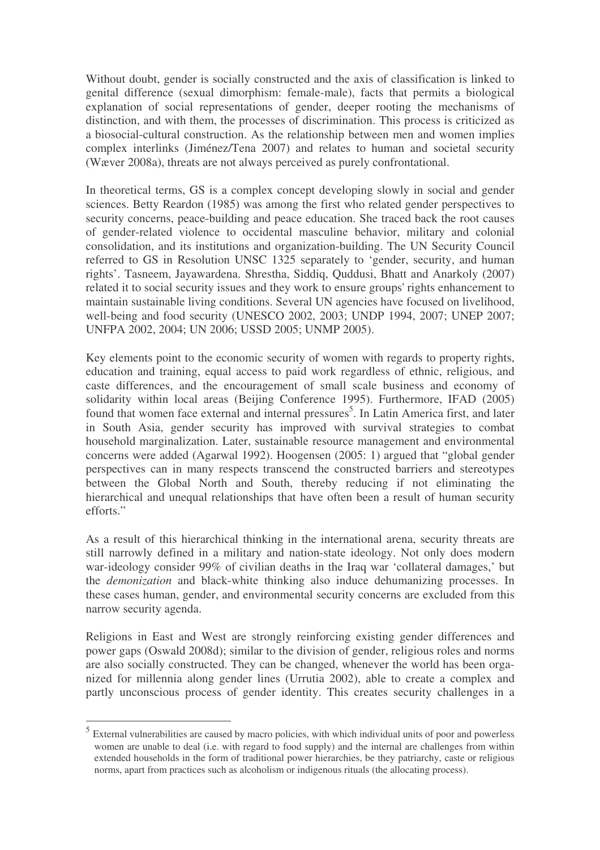Without doubt, gender is socially constructed and the axis of classification is linked to genital difference (sexual dimorphism: female-male), facts that permits a biological explanation of social representations of gender, deeper rooting the mechanisms of distinction, and with them, the processes of discrimination. This process is criticized as a biosocial-cultural construction. As the relationship between men and women implies complex interlinks (Jiménez/Tena 2007) and relates to human and societal security (Wæver 2008a), threats are not always perceived as purely confrontational.

In theoretical terms, GS is a complex concept developing slowly in social and gender sciences. Betty Reardon (1985) was among the first who related gender perspectives to security concerns, peace-building and peace education. She traced back the root causes of gender-related violence to occidental masculine behavior, military and colonial consolidation, and its institutions and organization-building. The UN Security Council referred to GS in Resolution UNSC 1325 separately to 'gender, security, and human rights'. Tasneem, Jayawardena. Shrestha, Siddiq, Quddusi, Bhatt and Anarkoly (2007) related it to social security issues and they work to ensure groups'rights enhancement to maintain sustainable living conditions. Several UN agencies have focused on livelihood, well-being and food security (UNESCO 2002, 2003; UNDP 1994, 2007; UNEP 2007; UNFPA 2002, 2004; UN 2006; USSD 2005; UNMP 2005).

Key elements point to the economic security of women with regards to property rights, education and training, equal access to paid work regardless of ethnic, religious, and caste differences, and the encouragement of small scale business and economy of solidarity within local areas (Beijing Conference 1995). Furthermore, IFAD (2005) found that women face external and internal pressures<sup>5</sup>. In Latin America first, and later in South Asia, gender security has improved with survival strategies to combat household marginalization. Later, sustainable resource management and environmental concerns were added (Agarwal 1992). Hoogensen (2005: 1) argued that "global gender perspectives can in many respects transcend the constructed barriers and stereotypes between the Global North and South, thereby reducing if not eliminating the hierarchical and unequal relationships that have often been a result of human security efforts"

As a result of this hierarchical thinking in the international arena, security threats are still narrowly defined in a military and nation-state ideology. Not only does modern war-ideology consider 99% of civilian deaths in the Iraq war 'collateral damages,' but the *demonization* and black-white thinking also induce dehumanizing processes. In these cases human, gender, and environmental security concerns are excluded from this narrow security agenda.

Religions in East and West are strongly reinforcing existing gender differences and power gaps (Oswald 2008d); similar to the division of gender, religious roles and norms are also socially constructed. They can be changed, whenever the world has been organized for millennia along gender lines (Urrutia 2002), able to create a complex and partly unconscious process of gender identity. This creates security challenges in a

<sup>5</sup> External vulnerabilities are caused by macro policies, with which individual units of poor and powerless women are unable to deal (i.e. with regard to food supply) and the internal are challenges from within extended households in the form of traditional power hierarchies, be they patriarchy, caste or religious norms, apart from practices such as alcoholism or indigenous rituals (the allocating process).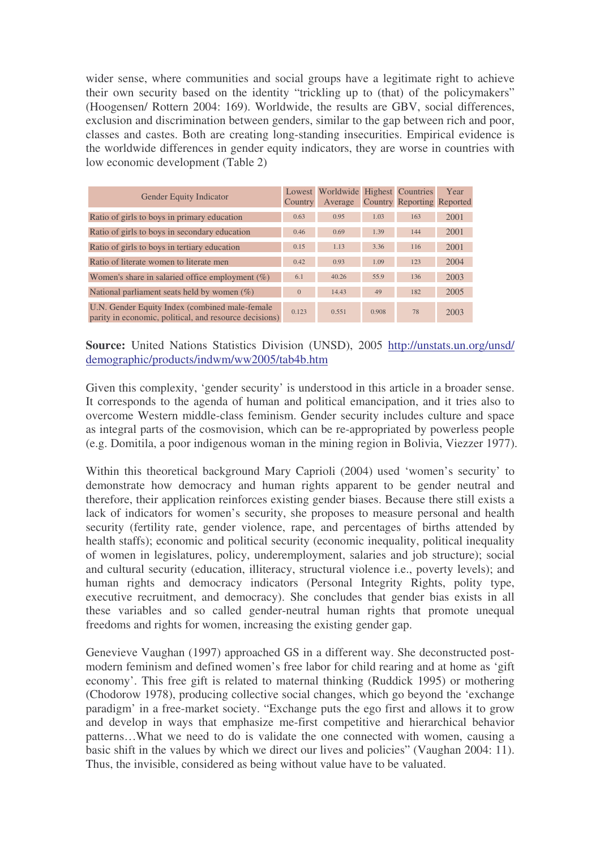wider sense, where communities and social groups have a legitimate right to achieve their own security based on the identity "trickling up to (that) of the policymakers" (Hoogensen/ Rottern 2004: 169). Worldwide, the results are GBV, social differences, exclusion and discrimination between genders, similar to the gap between rich and poor, classes and castes. Both are creating long-standing insecurities. Empirical evidence is the worldwide differences in gender equity indicators, they are worse in countries with low economic development (Table 2)

| Gender Equity Indicator<br>Country                                                                       |                | Worldwide Highest Countries |       |                            | Year |
|----------------------------------------------------------------------------------------------------------|----------------|-----------------------------|-------|----------------------------|------|
|                                                                                                          |                | Average                     |       | Country Reporting Reported |      |
| Ratio of girls to boys in primary education                                                              | 0.63           | 0.95                        | 1.03  | 163                        | 2001 |
| Ratio of girls to boys in secondary education                                                            | 0.46           | 0.69                        | 1.39  | 144                        | 2001 |
| Ratio of girls to boys in tertiary education                                                             | 0.15           | 1.13                        | 3.36  | 116                        | 2001 |
| Ratio of literate women to literate men                                                                  | 0.42           | 0.93                        | 1.09  | 123                        | 2004 |
| Women's share in salaried office employment $(\%)$                                                       | 6.1            | 40.26                       | 55.9  | 136                        | 2003 |
| National parliament seats held by women $(\%)$                                                           | $\overline{0}$ | 14.43                       | 49    | 182                        | 2005 |
| U.N. Gender Equity Index (combined male-female<br>parity in economic, political, and resource decisions) | 0.123          | 0.551                       | 0.908 | 78                         | 2003 |

**Source:** United Nations Statistics Division (UNSD), 2005 http://unstats.un.org/unsd/ demographic/products/indwm/ww2005/tab4b.htm

Given this complexity, 'gender security' is understood in this article in a broader sense. It corresponds to the agenda of human and political emancipation, and it tries also to overcome Western middle-class feminism. Gender security includes culture and space as integral parts of the cosmovision, which can be re-appropriated by powerless people (e.g. Domitila, a poor indigenous woman in the mining region in Bolivia, Viezzer 1977).

Within this theoretical background Mary Caprioli (2004) used 'women's security' to demonstrate how democracy and human rights apparent to be gender neutral and therefore, their application reinforces existing gender biases. Because there still exists a lack of indicators for women's security, she proposes to measure personal and health security (fertility rate, gender violence, rape, and percentages of births attended by health staffs); economic and political security (economic inequality, political inequality of women in legislatures, policy, underemployment, salaries and job structure); social and cultural security (education, illiteracy, structural violence i.e., poverty levels); and human rights and democracy indicators (Personal Integrity Rights, polity type, executive recruitment, and democracy). She concludes that gender bias exists in all these variables and so called gender-neutral human rights that promote unequal freedoms and rights for women, increasing the existing gender gap.

Genevieve Vaughan (1997) approached GS in a different way. She deconstructed postmodern feminism and defined women's free labor for child rearing and at home as 'gift economy'. This free gift is related to maternal thinking (Ruddick 1995) or mothering (Chodorow 1978), producing collective social changes, which go beyond the 'exchange paradigm' in a free-market society. "Exchange puts the ego first and allows it to grow and develop in ways that emphasize me-first competitive and hierarchical behavior patterns…What we need to do is validate the one connected with women, causing a basic shift in the values by which we direct our lives and policies" (Vaughan 2004: 11). Thus, the invisible, considered as being without value have to be valuated.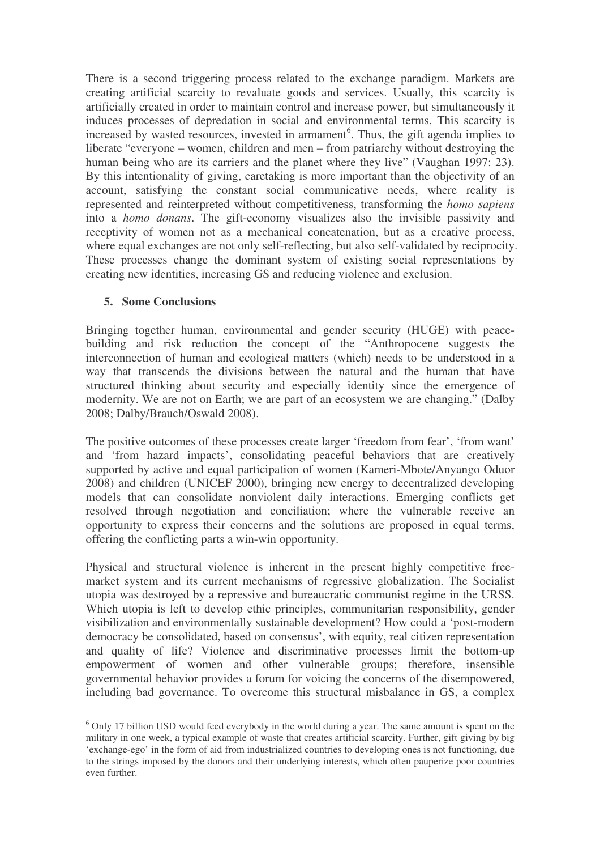There is a second triggering process related to the exchange paradigm. Markets are creating artificial scarcity to revaluate goods and services. Usually, this scarcity is artificially created in order to maintain control and increase power, but simultaneously it induces processes of depredation in social and environmental terms. This scarcity is increased by wasted resources, invested in armament<sup>6</sup>. Thus, the gift agenda implies to liberate "everyone – women, children and men – from patriarchy without destroying the human being who are its carriers and the planet where they live" (Vaughan 1997: 23). By this intentionality of giving, caretaking is more important than the objectivity of an account, satisfying the constant social communicative needs, where reality is represented and reinterpreted without competitiveness, transforming the *homo sapiens* into a *homo donans*. The gift-economy visualizes also the invisible passivity and receptivity of women not as a mechanical concatenation, but as a creative process, where equal exchanges are not only self-reflecting, but also self-validated by reciprocity. These processes change the dominant system of existing social representations by creating new identities, increasing GS and reducing violence and exclusion.

### **5. Some Conclusions**

Bringing together human, environmental and gender security (HUGE) with peacebuilding and risk reduction the concept of the "Anthropocene suggests the interconnection of human and ecological matters (which) needs to be understood in a way that transcends the divisions between the natural and the human that have structured thinking about security and especially identity since the emergence of modernity. We are not on Earth; we are part of an ecosystem we are changing." (Dalby 2008; Dalby/Brauch/Oswald 2008).

The positive outcomes of these processes create larger 'freedom from fear', 'from want' and 'from hazard impacts', consolidating peaceful behaviors that are creatively supported by active and equal participation of women (Kameri-Mbote/Anyango Oduor 2008) and children (UNICEF 2000), bringing new energy to decentralized developing models that can consolidate nonviolent daily interactions. Emerging conflicts get resolved through negotiation and conciliation; where the vulnerable receive an opportunity to express their concerns and the solutions are proposed in equal terms, offering the conflicting parts a win-win opportunity.

Physical and structural violence is inherent in the present highly competitive freemarket system and its current mechanisms of regressive globalization. The Socialist utopia was destroyed by a repressive and bureaucratic communist regime in the URSS. Which utopia is left to develop ethic principles, communitarian responsibility, gender visibilization and environmentally sustainable development? How could a 'post-modern democracy be consolidated, based on consensus', with equity, real citizen representation and quality of life? Violence and discriminative processes limit the bottom-up empowerment of women and other vulnerable groups; therefore, insensible governmental behavior provides a forum for voicing the concerns of the disempowered, including bad governance. To overcome this structural misbalance in GS, a complex

<sup>&</sup>lt;sup>6</sup> Only 17 billion USD would feed everybody in the world during a year. The same amount is spent on the military in one week, a typical example of waste that creates artificial scarcity. Further, gift giving by big 'exchange-ego' in the form of aid from industrialized countries to developing ones is not functioning, due to the strings imposed by the donors and their underlying interests, which often pauperize poor countries even further.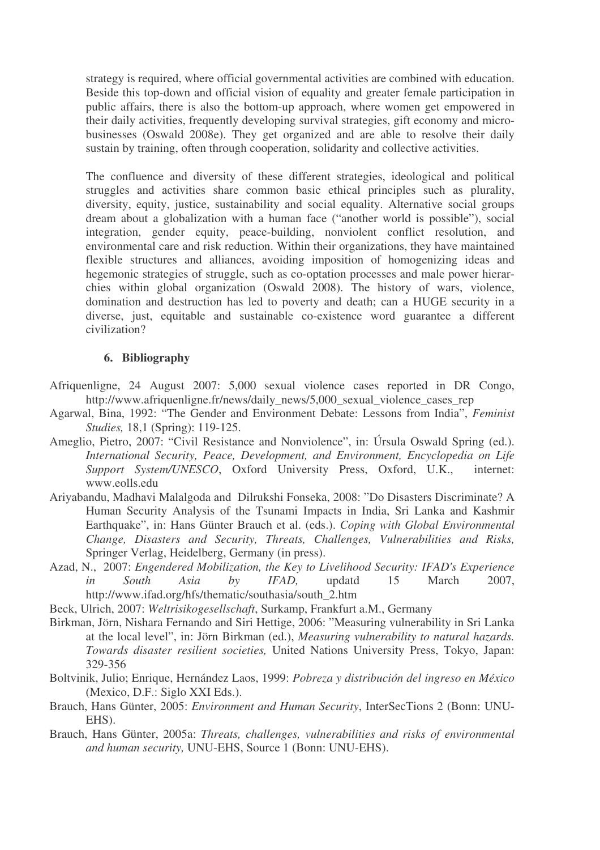strategy is required, where official governmental activities are combined with education. Beside this top-down and official vision of equality and greater female participation in public affairs, there is also the bottom-up approach, where women get empowered in their daily activities, frequently developing survival strategies, gift economy and microbusinesses (Oswald 2008e). They get organized and are able to resolve their daily sustain by training, often through cooperation, solidarity and collective activities.

The confluence and diversity of these different strategies, ideological and political struggles and activities share common basic ethical principles such as plurality, diversity, equity, justice, sustainability and social equality. Alternative social groups dream about a globalization with a human face ("another world is possible"), social integration, gender equity, peace-building, nonviolent conflict resolution, and environmental care and risk reduction. Within their organizations, they have maintained flexible structures and alliances, avoiding imposition of homogenizing ideas and hegemonic strategies of struggle, such as co-optation processes and male power hierarchies within global organization (Oswald 2008). The history of wars, violence, domination and destruction has led to poverty and death; can a HUGE security in a diverse, just, equitable and sustainable co-existence word guarantee a different civilization?

#### **6. Bibliography**

- Afriquenligne, 24 August 2007: 5,000 sexual violence cases reported in DR Congo, http://www.afriquenligne.fr/news/daily\_news/5,000\_sexual\_violence\_cases\_rep
- Agarwal, Bina, 1992: "The Gender and Environment Debate: Lessons from India", *Feminist Studies,* 18,1 (Spring): 119-125.
- Ameglio, Pietro, 2007: "Civil Resistance and Nonviolence", in: Úrsula Oswald Spring (ed.). *International Security, Peace, Development, and Environment, Encyclopedia on Life Support System/UNESCO*, Oxford University Press, Oxford, U.K., internet: www.eolls.edu
- Ariyabandu, Madhavi Malalgoda and Dilrukshi Fonseka, 2008: "Do Disasters Discriminate? A Human Security Analysis of the Tsunami Impacts in India, Sri Lanka and Kashmir Earthquake", in: Hans Günter Brauch et al. (eds.). *Coping with Global Environmental Change, Disasters and Security, Threats, Challenges, Vulnerabilities and Risks,* Springer Verlag, Heidelberg, Germany (in press).
- Azad, N., 2007: *Engendered Mobilization, the Key to Livelihood Security: IFAD's Experience in South Asia by IFAD,* updatd 15 March 2007, http://www.ifad.org/hfs/thematic/southasia/south\_2.htm
- Beck, Ulrich, 2007: *Weltrisikogesellschaft*, Surkamp, Frankfurt a.M., Germany
- Birkman, Jörn, Nishara Fernando and Siri Hettige, 2006: "Measuring vulnerability in Sri Lanka at the local level", in: Jörn Birkman (ed.), *Measuring vulnerability to natural hazards. Towards disaster resilient societies,* United Nations University Press, Tokyo, Japan: 329-356
- Boltvinik, Julio; Enrique, Hernández Laos, 1999: *Pobreza y distribución del ingreso en México* (Mexico, D.F.: Siglo XXI Eds.).
- Brauch, Hans Günter, 2005: *Environment and Human Security*, InterSecTions 2 (Bonn: UNU-EHS).
- Brauch, Hans Günter, 2005a: *Threats, challenges, vulnerabilities and risks of environmental and human security,* UNU-EHS, Source 1 (Bonn: UNU-EHS).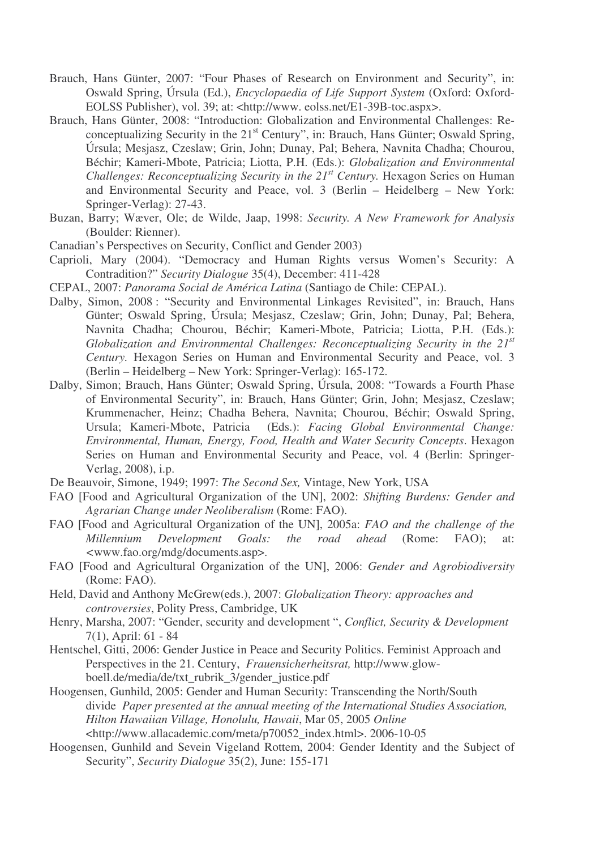- Brauch, Hans Günter, 2007: "Four Phases of Research on Environment and Security", in: Oswald Spring, Úrsula (Ed.), *Encyclopaedia of Life Support System* (Oxford: Oxford-EOLSS Publisher), vol. 39; at: <http://www. eolss.net/E1-39B-toc.aspx>.
- Brauch, Hans Günter, 2008: "Introduction: Globalization and Environmental Challenges: Reconceptualizing Security in the 21<sup>st</sup> Century", in: Brauch, Hans Günter; Oswald Spring, Úrsula; Mesjasz, Czeslaw; Grin, John; Dunay, Pal; Behera, Navnita Chadha; Chourou, Béchir; Kameri-Mbote, Patricia; Liotta, P.H. (Eds.): *Globalization and Environmental Challenges: Reconceptualizing Security in the 21 st Century.* Hexagon Series on Human and Environmental Security and Peace, vol. 3 (Berlin – Heidelberg – New York: Springer-Verlag): 27-43.
- Buzan, Barry; Wæver, Ole; de Wilde, Jaap, 1998: *Security. A New Framework for Analysis* (Boulder: Rienner).
- Canadian's Perspectives on Security, Conflict and Gender 2003)
- Caprioli, Mary (2004). "Democracy and Human Rights versus Women's Security: A Contradition?" *Security Dialogue* 35(4), December: 411-428
- CEPAL, 2007: *Panorama Social de América Latina* (Santiago de Chile: CEPAL).
- Dalby, Simon, 2008 : "Security and Environmental Linkages Revisited", in: Brauch, Hans Günter; Oswald Spring, Úrsula; Mesjasz, Czeslaw; Grin, John; Dunay, Pal; Behera, Navnita Chadha; Chourou, Béchir; Kameri-Mbote, Patricia; Liotta, P.H. (Eds.): *Globalization and Environmental Challenges: Reconceptualizing Security in the 21 st Century.* Hexagon Series on Human and Environmental Security and Peace, vol. 3 (Berlin – Heidelberg – New York: Springer-Verlag): 165-172.
- Dalby, Simon; Brauch, Hans Günter; Oswald Spring, Úrsula, 2008: "Towards a Fourth Phase of Environmental Security", in: Brauch, Hans Günter; Grin, John; Mesjasz, Czeslaw; Krummenacher, Heinz; Chadha Behera, Navnita; Chourou, Béchir; Oswald Spring, Ursula; Kameri-Mbote, Patricia (Eds.): *Facing Global Environmental Change: Environmental, Human, Energy, Food, Health and Water Security Concepts*. Hexagon Series on Human and Environmental Security and Peace, vol. 4 (Berlin: Springer-Verlag, 2008), i.p.
- De Beauvoir, Simone, 1949; 1997: *The Second Sex,* Vintage, New York, USA
- FAO [Food and Agricultural Organization of the UN], 2002: *Shifting Burdens: Gender and Agrarian Change under Neoliberalism* (Rome: FAO).
- FAO [Food and Agricultural Organization of the UN], 2005a: *FAO and the challenge of the Millennium Development Goals: the road ahead* (Rome: FAO); at: *<*www.fao.org/mdg/documents.asp>.
- FAO [Food and Agricultural Organization of the UN], 2006: *Gender and Agrobiodiversity* (Rome: FAO).
- Held, David and Anthony McGrew(eds.), 2007: *Globalization Theory: approaches and controversies*, Polity Press, Cambridge, UK
- Henry, Marsha, 2007: "Gender, security and development ", *Conflict, Security & Development* 7(1), April: 61 - 84
- Hentschel, Gitti, 2006: Gender Justice in Peace and Security Politics. Feminist Approach and Perspectives in the 21. Century, *Frauensicherheitsrat,* http://www.glowboell.de/media/de/txt\_rubrik\_3/gender\_justice.pdf
- Hoogensen, Gunhild, 2005: Gender and Human Security: Transcending the North/South divide *Paper presented at the annual meeting of the International Studies Association, Hilton Hawaiian Village, Honolulu, Hawaii*, Mar 05, 2005 *Online* <http://www.allacademic.com/meta/p70052\_index.html>. 2006-10-05
- Hoogensen, Gunhild and Sevein Vigeland Rottem, 2004: Gender Identity and the Subject of Security", *Security Dialogue* 35(2), June: 155-171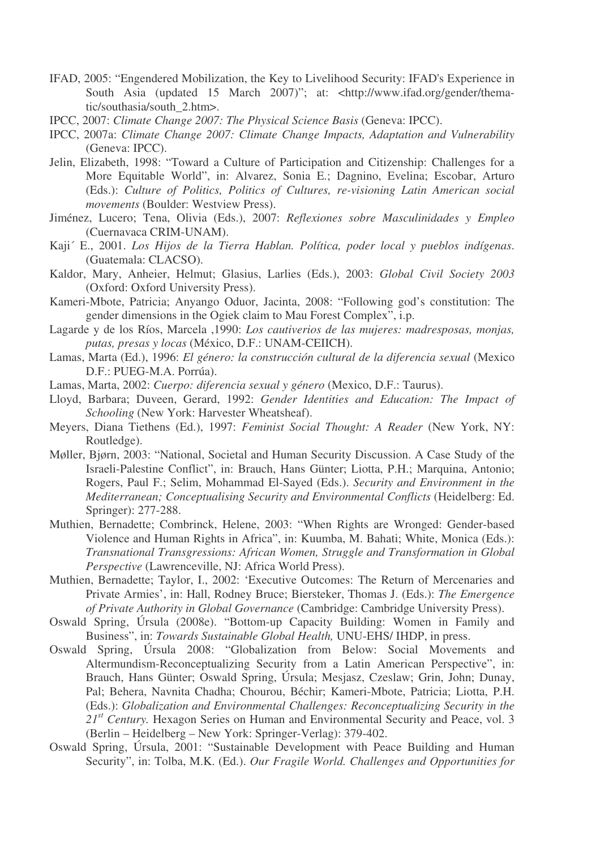- IFAD, 2005: "Engendered Mobilization, the Key to Livelihood Security: IFAD's Experience in South Asia (updated 15 March 2007)"; at: <http://www.ifad.org/gender/thematic/southasia/south\_2.htm>.
- IPCC, 2007: *Climate Change 2007: The Physical Science Basis* (Geneva: IPCC).
- IPCC, 2007a: *Climate Change 2007: Climate Change Impacts, Adaptation and Vulnerability* (Geneva: IPCC).
- Jelin, Elizabeth, 1998: "Toward a Culture of Participation and Citizenship: Challenges for a More Equitable World", in: Alvarez, Sonia E.; Dagnino, Evelina; Escobar, Arturo (Eds.): *Culture of Politics, Politics of Cultures, re-visioning Latin American social movements* (Boulder: Westview Press).
- Jiménez, Lucero; Tena, Olivia (Eds.), 2007: *Reflexiones sobre Masculinidades y Empleo* (Cuernavaca CRIM-UNAM).
- Kaji´ E., 2001. *Los Hijos de la Tierra Hablan. Política, poder local y pueblos indígenas*. (Guatemala: CLACSO).
- Kaldor, Mary, Anheier, Helmut; Glasius, Larlies (Eds.), 2003: *Global Civil Society 2003* (Oxford: Oxford University Press).
- Kameri-Mbote, Patricia; Anyango Oduor, Jacinta, 2008: "Following god's constitution: The gender dimensions in the Ogiek claim to Mau Forest Complex", i.p.
- Lagarde y de los Ríos, Marcela ,1990: *Los cautiverios de las mujeres: madresposas, monjas, putas, presas y locas* (México, D.F.: UNAM-CEIICH).
- Lamas, Marta (Ed.), 1996: *El género: la construcción cultural de la diferencia sexual* (Mexico D.F.: PUEG-M.A. Porrúa).
- Lamas, Marta, 2002: *Cuerpo: diferencia sexual y género* (Mexico, D.F.: Taurus).
- Lloyd, Barbara; Duveen, Gerard, 1992: *Gender Identities and Education: The Impact of Schooling* (New York: Harvester Wheatsheaf).
- Meyers, Diana Tiethens (Ed.), 1997: *Feminist Social Thought: A Reader* (New York, NY: Routledge).
- Møller, Bjørn, 2003: "National, Societal and Human Security Discussion. A Case Study of the Israeli-Palestine Conflict", in: Brauch, Hans Günter; Liotta, P.H.; Marquina, Antonio; Rogers, Paul F.; Selim, Mohammad El-Sayed (Eds.). *Security and Environment in the Mediterranean; Conceptualising Security and Environmental Conflicts* (Heidelberg: Ed. Springer): 277-288.
- Muthien, Bernadette; Combrinck, Helene, 2003: "When Rights are Wronged: Gender-based Violence and Human Rights in Africa", in: Kuumba, M. Bahati; White, Monica (Eds.): *Transnational Transgressions: African Women, Struggle and Transformation in Global Perspective* (Lawrenceville, NJ: Africa World Press).
- Muthien, Bernadette; Taylor, I., 2002: 'Executive Outcomes: The Return of Mercenaries and Private Armies', in: Hall, Rodney Bruce; Biersteker, Thomas J. (Eds.): *The Emergence of Private Authority in Global Governance* (Cambridge: Cambridge University Press).
- Oswald Spring, Úrsula (2008e). "Bottom-up Capacity Building: Women in Family and Business", in: *Towards Sustainable Global Health,* UNU-EHS/ IHDP, in press.
- Oswald Spring, Úrsula 2008: "Globalization from Below: Social Movements and Altermundism-Reconceptualizing Security from a Latin American Perspective", in: Brauch, Hans Günter; Oswald Spring, Úrsula; Mesjasz, Czeslaw; Grin, John; Dunay, Pal; Behera, Navnita Chadha; Chourou, Béchir; Kameri-Mbote, Patricia; Liotta, P.H. (Eds.): *Globalization and Environmental Challenges: Reconceptualizing Security in the* 21<sup>st</sup> Century. Hexagon Series on Human and Environmental Security and Peace, vol. 3 (Berlin – Heidelberg – New York: Springer-Verlag): 379-402.
- Oswald Spring, Úrsula, 2001: "Sustainable Development with Peace Building and Human Security", in: Tolba, M.K. (Ed.). *Our Fragile World. Challenges and Opportunities for*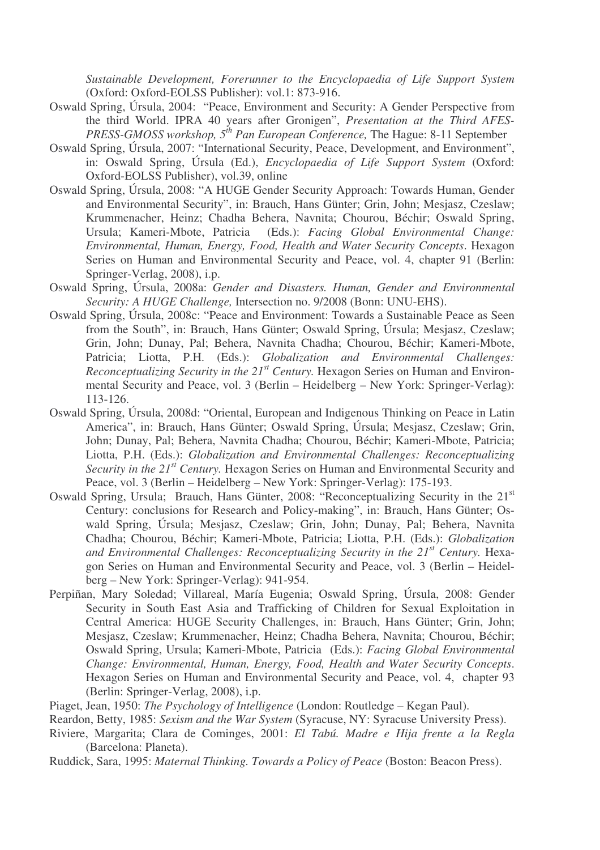*Sustainable Development, Forerunner to the Encyclopaedia of Life Support System* (Oxford: Oxford-EOLSS Publisher): vol.1: 873-916.

- Oswald Spring, Úrsula, 2004: "Peace, Environment and Security: A Gender Perspective from the third World. IPRA 40 years after Gronigen", *Presentation at the Third AFES-PRESS-GMOSS workshop, 5 th Pan European Conference,* The Hague: 8-11 September
- Oswald Spring, Úrsula, 2007: "International Security, Peace, Development, and Environment", in: Oswald Spring, Úrsula (Ed.), *Encyclopaedia of Life Support System* (Oxford: Oxford-EOLSS Publisher), vol.39, online
- Oswald Spring, Úrsula, 2008: "A HUGE Gender Security Approach: Towards Human, Gender and Environmental Security", in: Brauch, Hans Günter; Grin, John; Mesjasz, Czeslaw; Krummenacher, Heinz; Chadha Behera, Navnita; Chourou, Béchir; Oswald Spring, Ursula; Kameri-Mbote, Patricia (Eds.): *Facing Global Environmental Change: Environmental, Human, Energy, Food, Health and Water Security Concepts*. Hexagon Series on Human and Environmental Security and Peace, vol. 4, chapter 91 (Berlin: Springer-Verlag, 2008), i.p.
- Oswald Spring, Úrsula, 2008a: *Gender and Disasters. Human, Gender and Environmental Security: A HUGE Challenge,* Intersection no. 9/2008 (Bonn: UNU-EHS).
- Oswald Spring, Úrsula, 2008c: "Peace and Environment: Towards a Sustainable Peace as Seen from the South", in: Brauch, Hans Günter; Oswald Spring, Úrsula; Mesjasz, Czeslaw; Grin, John; Dunay, Pal; Behera, Navnita Chadha; Chourou, Béchir; Kameri-Mbote, Patricia; Liotta, P.H. (Eds.): *Globalization and Environmental Challenges: Reconceptualizing Security in the 21 st Century.* Hexagon Series on Human and Environmental Security and Peace, vol. 3 (Berlin – Heidelberg – New York: Springer-Verlag): 113-126.
- Oswald Spring, Úrsula, 2008d: "Oriental, European and Indigenous Thinking on Peace in Latin America", in: Brauch, Hans Günter; Oswald Spring, Úrsula; Mesjasz, Czeslaw; Grin, John; Dunay, Pal; Behera, Navnita Chadha; Chourou, Béchir; Kameri-Mbote, Patricia; Liotta, P.H. (Eds.): *Globalization and Environmental Challenges: Reconceptualizing Security in the 21 st Century.* Hexagon Series on Human and Environmental Security and Peace, vol. 3 (Berlin – Heidelberg – New York: Springer-Verlag): 175-193.
- Oswald Spring, Ursula; Brauch, Hans Günter, 2008: "Reconceptualizing Security in the 21<sup>st</sup> Century: conclusions for Research and Policy-making", in: Brauch, Hans Günter; Oswald Spring, Úrsula; Mesjasz, Czeslaw; Grin, John; Dunay, Pal; Behera, Navnita Chadha; Chourou, Béchir; Kameri-Mbote, Patricia; Liotta, P.H. (Eds.): *Globalization and Environmental Challenges: Reconceptualizing Security in the 21 st Century.* Hexagon Series on Human and Environmental Security and Peace, vol. 3 (Berlin – Heidelberg – New York: Springer-Verlag): 941-954.
- Perpiñan, Mary Soledad; Villareal, María Eugenia; Oswald Spring, Úrsula, 2008: Gender Security in South East Asia and Trafficking of Children for Sexual Exploitation in Central America: HUGE Security Challenges, in: Brauch, Hans Günter; Grin, John; Mesjasz, Czeslaw; Krummenacher, Heinz; Chadha Behera, Navnita; Chourou, Béchir; Oswald Spring, Ursula; Kameri-Mbote, Patricia (Eds.): *Facing Global Environmental Change: Environmental, Human, Energy, Food, Health and Water Security Concepts*. Hexagon Series on Human and Environmental Security and Peace, vol. 4, chapter 93 (Berlin: Springer-Verlag, 2008), i.p.

- Reardon, Betty, 1985: *Sexism and the War System* (Syracuse, NY: Syracuse University Press).
- Riviere, Margarita; Clara de Cominges, 2001: *El Tabú. Madre e Hija frente a la Regla* (Barcelona: Planeta).
- Ruddick, Sara, 1995: *Maternal Thinking. Towards a Policy of Peace* (Boston: Beacon Press).

Piaget, Jean, 1950: *The Psychology of Intelligence* (London: Routledge – Kegan Paul).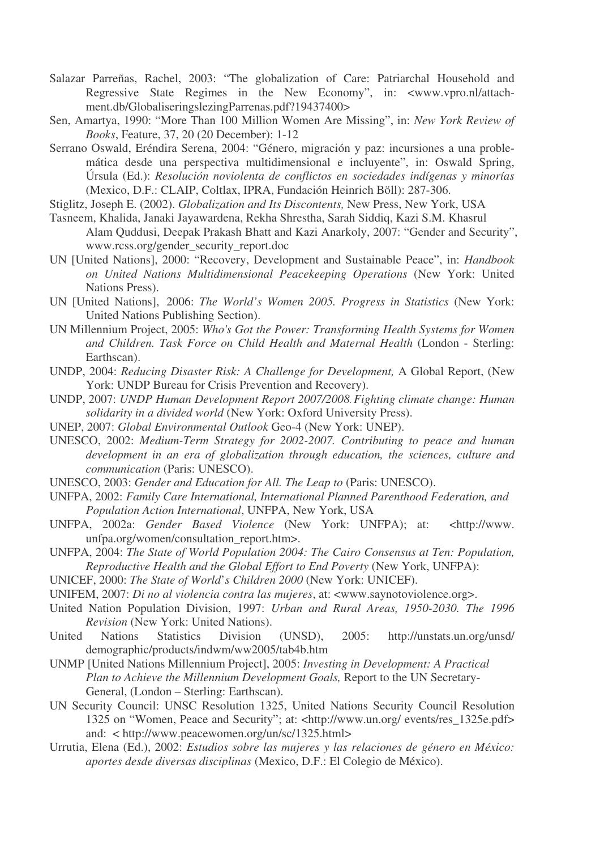- Salazar Parreñas, Rachel, 2003: "The globalization of Care: Patriarchal Household and Regressive State Regimes in the New Economy", in: <www.vpro.nl/attachment.db/GlobaliseringslezingParrenas.pdf?19437400>
- Sen, Amartya, 1990: "More Than 100 Million Women Are Missing", in: *New York Review of Books*, Feature, 37, 20 (20 December): 1-12
- Serrano Oswald, Eréndira Serena, 2004: "Género, migración y paz: incursiones a una problemática desde una perspectiva multidimensional e incluyente", in: Oswald Spring, Úrsula (Ed.): *Resolución noviolenta de conflictos en sociedades indígenas y minorías* (Mexico, D.F.: CLAIP, Coltlax, IPRA, Fundación Heinrich Böll): 287-306.
- Stiglitz, Joseph E. (2002). *Globalization and Its Discontents,* New Press, New York, USA
- Tasneem, Khalida, Janaki Jayawardena, Rekha Shrestha, Sarah Siddiq, Kazi S.M. Khasrul Alam Quddusi, Deepak Prakash Bhatt and Kazi Anarkoly, 2007: "Gender and Security", www.rcss.org/gender\_security\_report.doc
- UN [United Nations], 2000: "Recovery, Development and Sustainable Peace", in: *Handbook on United Nations Multidimensional Peacekeeping Operations* (New York: United Nations Press).
- UN [United Nations], 2006: *The World's Women 2005. Progress in Statistics* (New York: United Nations Publishing Section).
- UN Millennium Project, 2005: *Who's Got the Power: Transforming Health Systems for Women and Children. Task Force on Child Health and Maternal Health* (London - Sterling: Earthscan).
- UNDP, 2004: *Reducing Disaster Risk: A Challenge for Development,* A Global Report, (New York: UNDP Bureau for Crisis Prevention and Recovery).
- UNDP, 2007: *UNDP Human Development Report 2007/2008 Fighting climate change: Human solidarity in a divided world* (New York: Oxford University Press).
- UNEP, 2007: *Global Environmental Outlook* Geo-4 (New York: UNEP).
- UNESCO, 2002: *Medium-Term Strategy for 2002-2007. Contributing to peace and human development in an era of globalization through education, the sciences, culture and communication* (Paris: UNESCO).
- UNESCO, 2003: *Gender and Education for All. The Leap to* (Paris: UNESCO).
- UNFPA, 2002: *Family Care International, International Planned Parenthood Federation, and Population Action International*, UNFPA, New York, USA
- UNFPA, 2002a: *Gender Based Violence* (New York: UNFPA); at: <http://www. unfpa.org/women/consultation\_report.htm>.
- UNFPA, 2004: *The State of World Population 2004: The Cairo Consensus at Ten: Population, Reproductive Health and the Global Effort to End Poverty* (New York, UNFPA):
- UNICEF, 2000: *The State of World*'*s Children 2000* (New York: UNICEF).
- UNIFEM, 2007: *Di no al violencia contra las mujeres*, at: <www.saynotoviolence.org>.
- United Nation Population Division, 1997: *Urban and Rural Areas, 1950-2030. The 1996 Revision* (New York: United Nations).
- United Nations Statistics Division (UNSD), 2005: http://unstats.un.org/unsd/ demographic/products/indwm/ww2005/tab4b.htm
- UNMP [United Nations Millennium Project], 2005: *Investing in Development: A Practical Plan to Achieve the Millennium Development Goals,* Report to the UN Secretary-General, (London – Sterling: Earthscan).
- UN Security Council: UNSC Resolution 1325, United Nations Security Council Resolution 1325 on "Women, Peace and Security"; at: <http://www.un.org/ events/res\_1325e.pdf> and: < http://www.peacewomen.org/un/sc/1325.html>
- Urrutia, Elena (Ed.), 2002: *Estudios sobre las mujeres y las relaciones de género en México: aportes desde diversas disciplinas* (Mexico, D.F.: El Colegio de México).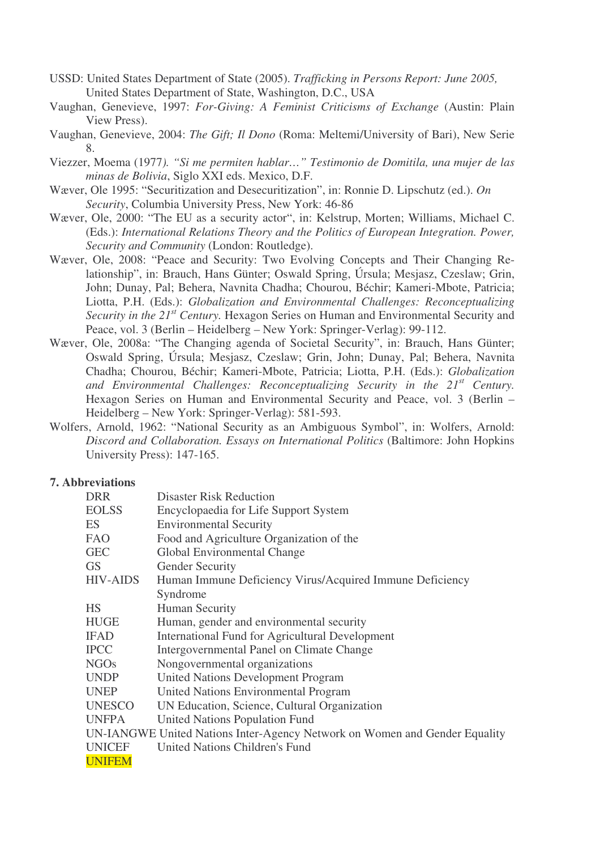- USSD: United States Department of State (2005). *Trafficking in Persons Report: June 2005,* United States Department of State, Washington, D.C., USA
- Vaughan, Genevieve, 1997: *For-Giving: A Feminist Criticisms of Exchange* (Austin: Plain View Press).
- Vaughan, Genevieve, 2004: *The Gift; Il Dono* (Roma: Meltemi/University of Bari), New Serie 8.
- Viezzer, Moema (1977*). "Si me permiten hablar…" Testimonio de Domitila, una mujer de las minas de Bolivia*, Siglo XXI eds. Mexico, D.F.
- Wæver, Ole 1995: "Securitization and Desecuritization", in: Ronnie D. Lipschutz (ed.). *On Security*, Columbia University Press, New York: 46-86
- Wæver, Ole, 2000: "The EU as a security actor", in: Kelstrup, Morten; Williams, Michael C. (Eds.): *International Relations Theory and the Politics of European Integration. Power, Security and Community* (London: Routledge).
- Wæver, Ole, 2008: "Peace and Security: Two Evolving Concepts and Their Changing Relationship", in: Brauch, Hans Günter; Oswald Spring, Úrsula; Mesjasz, Czeslaw; Grin, John; Dunay, Pal; Behera, Navnita Chadha; Chourou, Béchir; Kameri-Mbote, Patricia; Liotta, P.H. (Eds.): *Globalization and Environmental Challenges: Reconceptualizing Security in the 21 st Century.* Hexagon Series on Human and Environmental Security and Peace, vol. 3 (Berlin – Heidelberg – New York: Springer-Verlag): 99-112.
- Wæver, Ole, 2008a: "The Changing agenda of Societal Security", in: Brauch, Hans Günter; Oswald Spring, Úrsula; Mesjasz, Czeslaw; Grin, John; Dunay, Pal; Behera, Navnita Chadha; Chourou, Béchir; Kameri-Mbote, Patricia; Liotta, P.H. (Eds.): *Globalization and Environmental Challenges: Reconceptualizing Security in the 21 st Century.* Hexagon Series on Human and Environmental Security and Peace, vol. 3 (Berlin – Heidelberg – New York: Springer-Verlag): 581-593.
- Wolfers, Arnold, 1962: "National Security as an Ambiguous Symbol", in: Wolfers, Arnold: *Discord and Collaboration. Essays on International Politics* (Baltimore: John Hopkins University Press): 147-165.

#### **7. Abbreviations**

| <b>DRR</b>      | <b>Disaster Risk Reduction</b>                                             |
|-----------------|----------------------------------------------------------------------------|
| <b>EOLSS</b>    | Encyclopaedia for Life Support System                                      |
| ES              | <b>Environmental Security</b>                                              |
| <b>FAO</b>      | Food and Agriculture Organization of the                                   |
| <b>GEC</b>      | Global Environmental Change                                                |
| <b>GS</b>       | <b>Gender Security</b>                                                     |
| <b>HIV-AIDS</b> | Human Immune Deficiency Virus/Acquired Immune Deficiency                   |
|                 | Syndrome                                                                   |
| <b>HS</b>       | <b>Human Security</b>                                                      |
| <b>HUGE</b>     | Human, gender and environmental security                                   |
| <b>IFAD</b>     | International Fund for Agricultural Development                            |
| <b>IPCC</b>     | Intergovernmental Panel on Climate Change                                  |
| <b>NGOs</b>     | Nongovernmental organizations                                              |
| <b>UNDP</b>     | <b>United Nations Development Program</b>                                  |
| <b>UNEP</b>     | United Nations Environmental Program                                       |
| <b>UNESCO</b>   | UN Education, Science, Cultural Organization                               |
| <b>UNFPA</b>    | United Nations Population Fund                                             |
|                 | UN-IANGWE United Nations Inter-Agency Network on Women and Gender Equality |
| <b>UNICEF</b>   | <b>United Nations Children's Fund</b>                                      |
| <b>UNIFEM</b>   |                                                                            |
|                 |                                                                            |